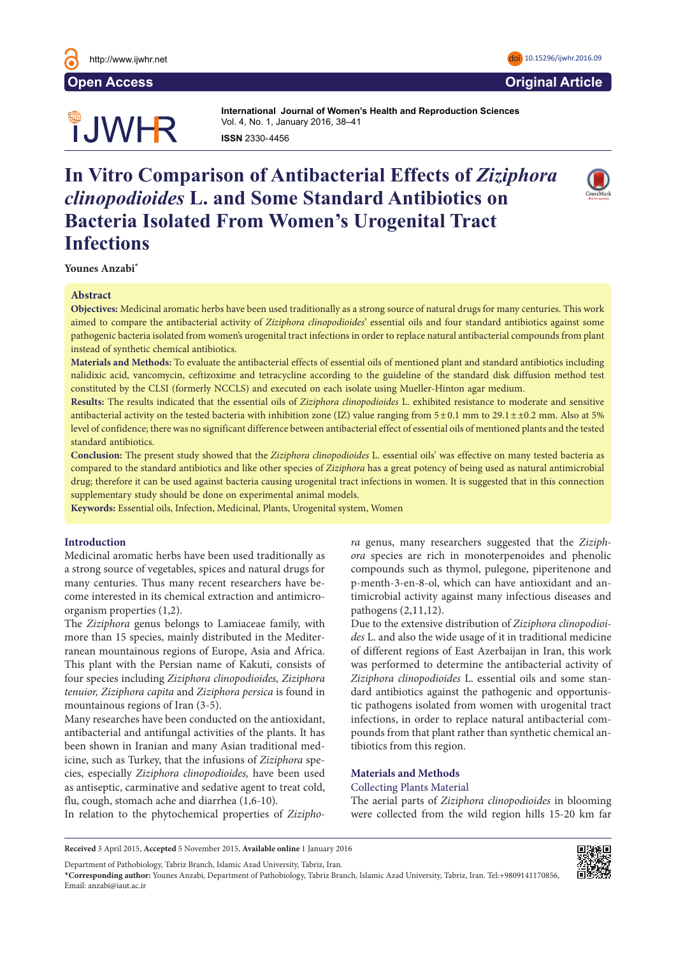

# **OUWHR**

**International Journal of Women's Health and Reproduction Sciences International Journal of Women's Health and Reproduction Sciences**  Vol. 4, No. 1, January 2016, 38–41 **ISSN** 2330- 4456 **ISSN** 2330- 4456

## **In Vitro Comparison of Antibacterial Effects of Ziziphora** *clinopodioides* L. and Some Standard Antibiotics on **Bacteria Isolated From Women's Urogenital Tract Infections Abstract**



#### **Abstract**  $A$ bstract $\overline{a}$

Objectives: Medicinal aromatic herbs have been used traditionally as a strong source of natural drugs for many centuries. This work aimed to compare the antibacterial activity of Ziziphora clinopodioides' essential oils and four standard antibiotics against some pathogenic bacteria isolated from women's urogenital tract infections in order to replace natural antibacterial compounds from plant **instead of synthetic chemical antibiotics.** 

**Materials and Methods:** To evaluate the antibacterial effects of essential oils of mentioned plant and standard antibiotics including nalidixic acid, vancomycin, ceftizoxime and tetracycline according to the guideline of the standard disk diffusion method test constituted by the CLSI (formerly NCCLS) and executed on each isolate using Mueller-Hinton agar medium.

Results: The results indicated that the essential oils of Ziziphora clinopodioides L. exhibited resistance to moderate and sensitive antibacterial activity on the tested bacteria with inhibition zone (IZ) value ranging from  $5 \pm 0.1$  mm to  $29.1 \pm 10.2$  mm. Also at 5% level of confidence; there was no significant difference between antibacterial effect of essential oils of mentioned plants and the tested standard antibiotics. in 1999 due to the effect of wars and that loss of 8.44 mil-

Conclusion: The present study showed that the Ziziphora clinopodioides L. essential oils' was effective on many tested bacteria as compared to the standard antibiotics and like other species of Ziziphora has a great potency of being used as natural antimicrobial drug; therefore it can be used against bacteria causing urogenital tract infections in women. It is suggested that in this connection supplementary study should be done on experimental animal models. supplementary study should be done on experimentar and<br> de theet intertions in women, it is suggested that in this con- $\alpha$  cause the migration of  $\alpha$  and  $\alpha$  and  $\alpha$  and  $\alpha$  and  $\alpha$  and  $\alpha$  and  $\alpha$  and  $\alpha$  and  $\alpha$  and  $\alpha$  and  $\alpha$  and  $\alpha$  and  $\alpha$  and  $\alpha$  and  $\alpha$  and  $\alpha$  and  $\alpha$  and  $\alpha$  and  $\alpha$  and  $\alpha$  and  $\alpha$  and  $\alpha$ 

**Keywords:** Essential oils, Infection, Medicinal, Plants, Urogenital system, Women

### **Introduction**

Medicinal aromatic herbs have been used traditionally as a strong source of vegetables, spices and natural drugs for a strong source of vegetables, sprees and natural drugs for<br>many centuries. Thus many recent researchers have become interested in its chemical extraction and antimicroorganism properties (1,2). Hany centuries. Thus many recent researchers have

The Ziziphora genus belongs to Lamiaceae family, with more than 15 species, mainly distributed in the Mediterranean mountainous regions of Europe, Asia and Africa. This plant with the Persian name of Kakuti, consists of four species including *Ziziphora clinopodioides*, *Ziziphora* tenuior, Ziziphora capita and Ziziphora persica is found in mountainous regions of Iran  $(3-5)$ .

mountains as regions or rian (e e).<br>Many researches have been conducted on the antioxidant, antibacterial and antifungal activities of the plants. It has been shown in Iranian and many Asian traditional medicine, such as Turkey, that the infusions of *Ziziphora* species, especially *Ziziphora clinopodioides,* have been used as antiseptic, carminative and sedative agent to treat cold, flu, cough, stomach ache and diarrhea (1,6-10).  $\frac{1}{1}$  and antiquing activities of the plants. It

In relation to the phytochemical properties of Zizipho-<br>Were collected from the wild In relation to the phytoe

ra genus, many researchers suggested that the Ziziph*ora* species are rich in monoterpenoides and phenolic compounds such as thymol, pulegone, piperitenone and p-menth-3-en-8-ol, which can have antioxidant and antimicrobial activity against many infectious diseases and pathogens  $(2,11,12)$ .

Due to the extensive distribution of Ziziphora clinopodioides L. and also the wide usage of it in traditional medicine of different regions of East Azerbaijan in Iran, this work was performed to determine the antibacterial activity of Ziziphora clinopodioides L. essential oils and some standard antibiotics against the pathogenic and opportunistic pathogens isolated from women with urogenital tract infections, in order to replace natural antibacterial compounds from that plant rather than synthetic chemical antibiotics from this region.  $\frac{P}{\cdot}$ 

#### **Materials and Methods**

#### Collecting Plants Material

10). The aerial parts of *Ziziphora clinopodioides* in blooming were collected from the wild region hills 15-20 km far

Department of Pathobiology, Tabriz Branch, Islamic Azad University, Tabriz, Iran.

<sup>\*</sup>**Corresponding author:** Younes Anzabi, Department of Pathobiology, Tabriz Branch, Islamic Azad University, Tabriz, Iran. Tel:+9809141170856, Email: anzabi@iaut.ac.ir





**Received** 3 April 2015, **Accepted** 5 November 2015, **Available online** 1 January 2016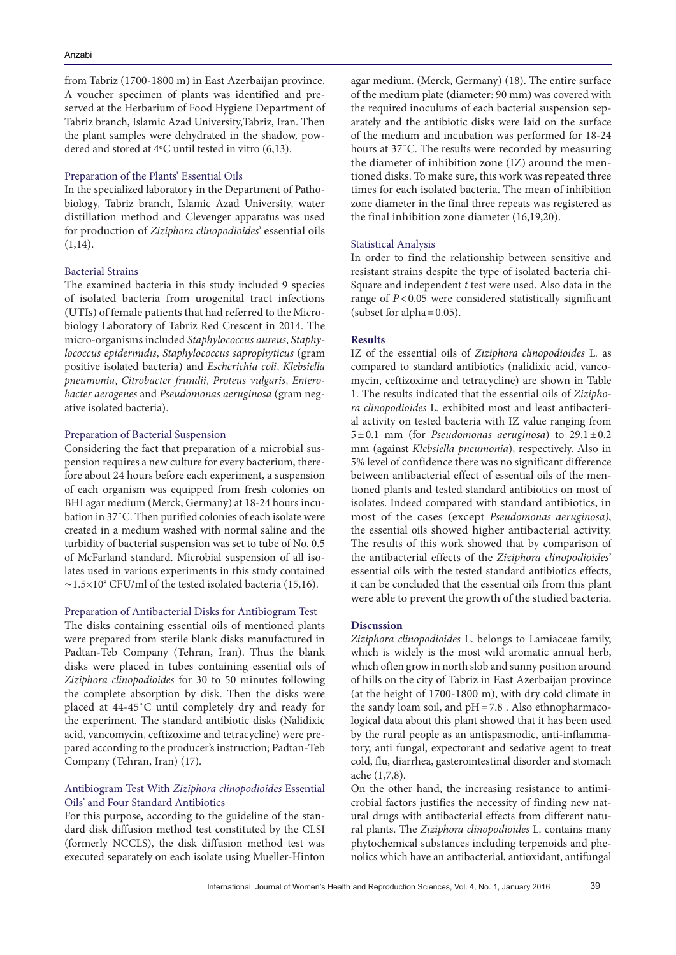from Tabriz (1700-1800 m) in East Azerbaijan province. A voucher specimen of plants was identified and preserved at the Herbarium of Food Hygiene Department of Tabriz branch, Islamic Azad University,Tabriz, Iran. Then the plant samples were dehydrated in the shadow, powdered and stored at 4ºC until tested in vitro (6,13).

#### Preparation of the Plants' Essential Oils

In the specialized laboratory in the Department of Pathobiology, Tabriz branch, Islamic Azad University, water distillation method and Clevenger apparatus was used for production of *Ziziphora clinopodioides*' essential oils  $(1,14)$ .

#### Bacterial Strains

The examined bacteria in this study included 9 species of isolated bacteria from urogenital tract infections (UTIs) of female patients that had referred to the Microbiology Laboratory of Tabriz Red Crescent in 2014. The micro-organisms included *Staphylococcus aureus*, *Staphylococcus epidermidis*, *Staphylococcus saprophyticus* (gram positive isolated bacteria) and *Escherichia coli*, *Klebsiella pneumonia*, *Citrobacter frundii*, *Proteus vulgaris*, *Enterobacter aerogenes* and *Pseudomonas aeruginosa* (gram negative isolated bacteria).

#### Preparation of Bacterial Suspension

Considering the fact that preparation of a microbial suspension requires a new culture for every bacterium, therefore about 24 hours before each experiment, a suspension of each organism was equipped from fresh colonies on BHI agar medium (Merck, Germany) at 18-24 hours incubation in 37˚C. Then purified colonies of each isolate were created in a medium washed with normal saline and the turbidity of bacterial suspension was set to tube of No. 0.5 of McFarland standard. Microbial suspension of all isolates used in various experiments in this study contained  $\sim$ 1.5×10<sup>8</sup> CFU/ml of the tested isolated bacteria (15,16).

#### Preparation of Antibacterial Disks for Antibiogram Test

The disks containing essential oils of mentioned plants were prepared from sterile blank disks manufactured in Padtan-Teb Company (Tehran, Iran). Thus the blank disks were placed in tubes containing essential oils of *Ziziphora clinopodioides* for 30 to 50 minutes following the complete absorption by disk. Then the disks were placed at 44-45˚C until completely dry and ready for the experiment. The standard antibiotic disks (Nalidixic acid, vancomycin, ceftizoxime and tetracycline) were prepared according to the producer's instruction; Padtan-Teb Company (Tehran, Iran) (17).

#### Antibiogram Test With *Ziziphora clinopodioides* Essential Oils' and Four Standard Antibiotics

For this purpose, according to the guideline of the standard disk diffusion method test constituted by the CLSI (formerly NCCLS), the disk diffusion method test was executed separately on each isolate using Mueller-Hinton

agar medium. (Merck, Germany) (18). The entire surface of the medium plate (diameter: 90 mm) was covered with the required inoculums of each bacterial suspension separately and the antibiotic disks were laid on the surface of the medium and incubation was performed for 18-24 hours at 37˚C. The results were recorded by measuring the diameter of inhibition zone (IZ) around the mentioned disks. To make sure, this work was repeated three times for each isolated bacteria. The mean of inhibition zone diameter in the final three repeats was registered as the final inhibition zone diameter (16,19,20).

#### Statistical Analysis

In order to find the relationship between sensitive and resistant strains despite the type of isolated bacteria chi-Square and independent *t* test were used. Also data in the range of *P*<0.05 were considered statistically significant (subset for alpha =  $0.05$ ).

#### **Results**

IZ of the essential oils of *Ziziphora clinopodioides* L*.* as compared to standard antibiotics (nalidixic acid, vancomycin, ceftizoxime and tetracycline) are shown in Table 1. The results indicated that the essential oils of *Ziziphora clinopodioides* L*.* exhibited most and least antibacterial activity on tested bacteria with IZ value ranging from 5±0.1 mm (for *Pseudomonas aeruginosa*) to 29.1±0.2 mm (against *Klebsiella pneumonia*), respectively. Also in 5% level of confidence there was no significant difference between antibacterial effect of essential oils of the mentioned plants and tested standard antibiotics on most of isolates. Indeed compared with standard antibiotics, in most of the cases (except *Pseudomonas aeruginosa)*, the essential oils showed higher antibacterial activity. The results of this work showed that by comparison of the antibacterial effects of the *Ziziphora clinopodioides*' essential oils with the tested standard antibiotics effects, it can be concluded that the essential oils from this plant were able to prevent the growth of the studied bacteria.

#### **Discussion**

*Ziziphora clinopodioides* L. belongs to Lamiaceae family, which is widely is the most wild aromatic annual herb, which often grow in north slob and sunny position around of hills on the city of Tabriz in East Azerbaijan province (at the height of 1700-1800 m), with dry cold climate in the sandy loam soil, and pH=7.8 . Also ethnopharmacological data about this plant showed that it has been used by the rural people as an antispasmodic, anti-inflammatory, anti fungal, expectorant and sedative agent to treat cold, flu, diarrhea, gasterointestinal disorder and stomach ache (1,7,8).

On the other hand, the increasing resistance to antimicrobial factors justifies the necessity of finding new natural drugs with antibacterial effects from different natural plants. The *Ziziphora clinopodioides* L. contains many phytochemical substances including terpenoids and phenolics which have an antibacterial, antioxidant, antifungal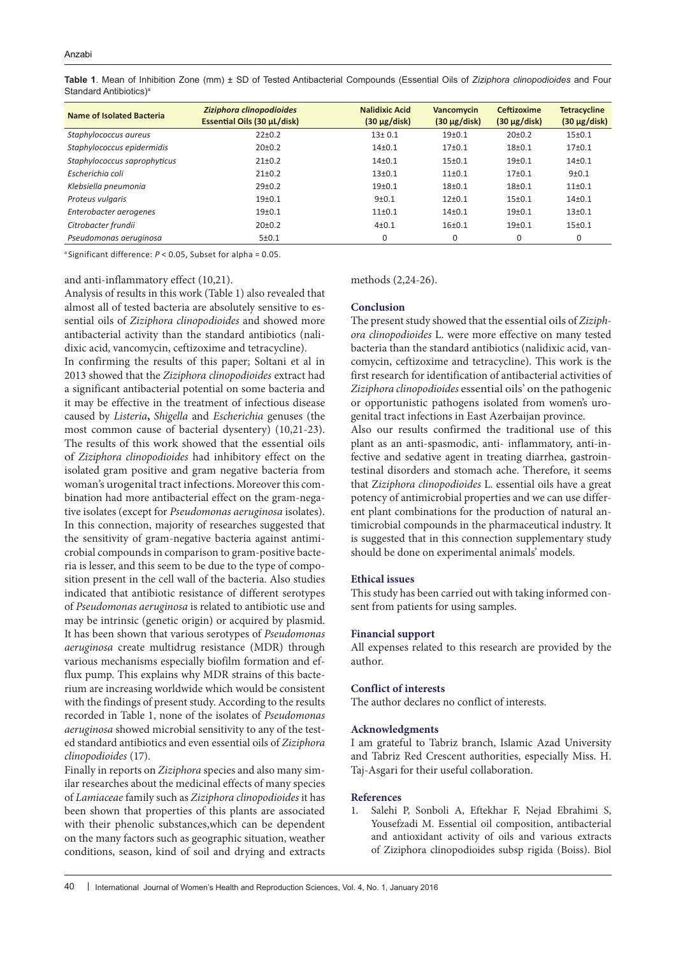**Table 1**. Mean of Inhibition Zone (mm) ± SD of Tested Antibacterial Compounds (Essential Oils of *Ziziphora clinopodioides* and Four Standard Antibiotics)<sup>a</sup>

| Name of Isolated Bacteria    | Ziziphora clinopodioides<br>Essential Oils (30 µL/disk) | <b>Nalidixic Acid</b><br>$(30 \mu g/disk)$ | Vancomycin<br>$(30 \mu g/disk)$ | <b>Ceftizoxime</b><br>$(30 \mu g/disk)$ | <b>Tetracycline</b><br>$(30 \mu g/disk)$ |
|------------------------------|---------------------------------------------------------|--------------------------------------------|---------------------------------|-----------------------------------------|------------------------------------------|
| Staphylococcus aureus        | $22+0.2$                                                | $13+0.1$                                   | $19+0.1$                        | 20±0.2                                  | $15 + 0.1$                               |
| Staphylococcus epidermidis   | $20+0.2$                                                | $14+0.1$                                   | $17+0.1$                        | $18 + 0.1$                              | 17 <sub>±</sub> 0.1                      |
| Staphylococcus saprophyticus | $21 \pm 0.2$                                            | $14+0.1$                                   | $15+0.1$                        | 19 <sub>±</sub> 0.1                     | $14 + 0.1$                               |
| Escherichia coli             | $21+0.2$                                                | $13+0.1$                                   | $11+0.1$                        | $17+0.1$                                | $9 + 0.1$                                |
| Klebsiella pneumonia         | $29+0.2$                                                | $19+0.1$                                   | $18+0.1$                        | $18 + 0.1$                              | $11\pm0.1$                               |
| Proteus vulgaris             | $19+0.1$                                                | $9+0.1$                                    | $12+0.1$                        | $15+0.1$                                | $14+0.1$                                 |
| Enterobacter aerogenes       | $19+0.1$                                                | $11+0.1$                                   | $14+0.1$                        | 19 <sub>±</sub> 0.1                     | $13 + 0.1$                               |
| Citrobacter frundii          | $20+0.2$                                                | $4 + 0.1$                                  | $16+0.1$                        | $19+0.1$                                | $15+0.1$                                 |
| Pseudomonas aeruginosa       | 5±0.1                                                   | 0                                          | 0                               | 0                                       | 0                                        |

a Significant difference: *P*< 0.05, Subset for alpha = 0.05.

#### and anti-inflammatory effect (10,21).

Analysis of results in this work (Table 1) also revealed that almost all of tested bacteria are absolutely sensitive to essential oils of *Ziziphora clinopodioides* and showed more antibacterial activity than the standard antibiotics (nalidixic acid, vancomycin, ceftizoxime and tetracycline).

In confirming the results of this paper; Soltani et al in 2013 showed that the *Ziziphora clinopodioides* extract had a significant antibacterial potential on some bacteria and it may be effective in the treatment of infectious disease caused by *Listeria***,** *Shigella* and *Escherichia* genuses (the most common cause of bacterial dysentery) (10,21-23). The results of this work showed that the essential oils of *Ziziphora clinopodioides* had inhibitory effect on the isolated gram positive and gram negative bacteria from woman's urogenital tract infections. Moreover this combination had more antibacterial effect on the gram-negative isolates (except for *Pseudomonas aeruginosa* isolates). In this connection, majority of researches suggested that the sensitivity of gram-negative bacteria against antimicrobial compounds in comparison to gram-positive bacteria is lesser, and this seem to be due to the type of composition present in the cell wall of the bacteria. Also studies indicated that antibiotic resistance of different serotypes of *Pseudomonas aeruginosa* is related to antibiotic use and may be intrinsic (genetic origin) or acquired by plasmid. It has been shown that various serotypes of *Pseudomonas aeruginosa* create multidrug resistance (MDR) through various mechanisms especially biofilm formation and efflux pump. This explains why MDR strains of this bacterium are increasing worldwide which would be consistent with the findings of present study. According to the results recorded in Table 1, none of the isolates of *Pseudomonas aeruginosa* showed microbial sensitivity to any of the tested standard antibiotics and even essential oils of *Ziziphora clinopodioides* (17).

Finally in reports on *Ziziphora* species and also many similar researches about the medicinal effects of many species of *Lamiaceae* family such as *Ziziphora clinopodioides* it has been shown that properties of this plants are associated with their phenolic substances,which can be dependent on the many factors such as geographic situation, weather conditions, season, kind of soil and drying and extracts

#### methods (2,24-26).

#### **Conclusion**

The present study showed that the essential oils of *Ziziphora clinopodioides* L. were more effective on many tested bacteria than the standard antibiotics (nalidixic acid, vancomycin, ceftizoxime and tetracycline). This work is the first research for identification of antibacterial activities of *Ziziphora clinopodioides* essential oils' on the pathogenic or opportunistic pathogens isolated from women's urogenital tract infections in East Azerbaijan province. Also our results confirmed the traditional use of this plant as an anti-spasmodic, anti- inflammatory, anti-infective and sedative agent in treating diarrhea, gastrointestinal disorders and stomach ache. Therefore, it seems that Z*iziphora clinopodioides* L. essential oils have a great potency of antimicrobial properties and we can use different plant combinations for the production of natural antimicrobial compounds in the pharmaceutical industry. It is suggested that in this connection supplementary study should be done on experimental animals' models.

#### **Ethical issues**

This study has been carried out with taking informed consent from patients for using samples.

#### **Financial support**

All expenses related to this research are provided by the author.

#### **Conflict of interests**

The author declares no conflict of interests.

#### **Acknowledgments**

I am grateful to Tabriz branch, Islamic Azad University and Tabriz Red Crescent authorities, especially Miss. H. Taj-Asgari for their useful collaboration.

#### **References**

1. Salehi P, Sonboli A, Eftekhar F, Nejad Ebrahimi S, Yousefzadi M. Essential oil composition, antibacterial and antioxidant activity of oils and various extracts of Ziziphora clinopodioides subsp rigida (Boiss). Biol